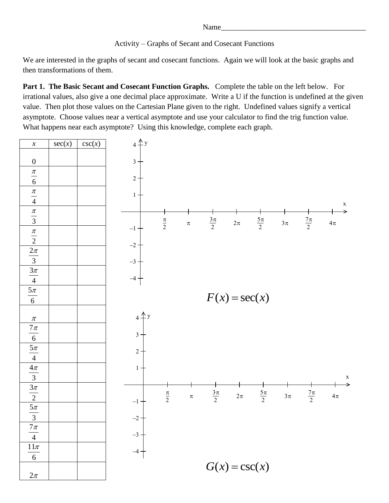```
Name_
```
Activity – Graphs of Secant and Cosecant Functions

We are interested in the graphs of secant and cosecant functions. Again we will look at the basic graphs and then transformations of them.

**Part 1. The Basic Secant and Cosecant Function Graphs.** Complete the table on the left below. For irrational values, also give a one decimal place approximate. Write a U if the function is undefined at the given value. Then plot those values on the Cartesian Plane given to the right. Undefined values signify a vertical asymptote. Choose values near a vertical asymptote and use your calculator to find the trig function value. What happens near each asymptote? Using this knowledge, complete each graph.

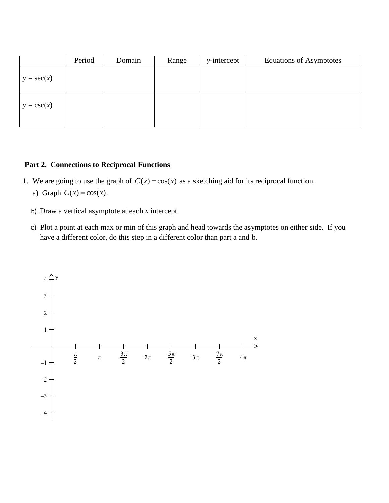|               | Period | Domain | Range | $y$ -intercept | <b>Equations of Asymptotes</b> |
|---------------|--------|--------|-------|----------------|--------------------------------|
| $y = sec(x)$  |        |        |       |                |                                |
| $y = \csc(x)$ |        |        |       |                |                                |

## **Part 2. Connections to Reciprocal Functions**

- 1. We are going to use the graph of  $C(x) = cos(x)$  as a sketching aid for its reciprocal function. a) Graph  $C(x) = cos(x)$ .
	- b) Draw a vertical asymptote at each *x* intercept.
	- c) Plot a point at each max or min of this graph and head towards the asymptotes on either side. If you have a different color, do this step in a different color than part a and b.

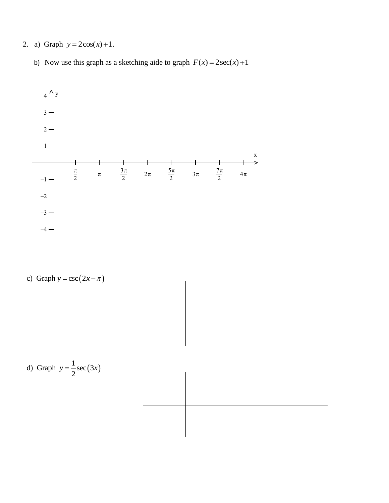- 2. a) Graph  $y = 2\cos(x) + 1$ .
	- b) Now use this graph as a sketching aide to graph  $F(x) = 2\sec(x) + 1$



c) Graph 
$$
y = \csc(2x - \pi)
$$

$$
\begin{array}{|c|c|c|c|c|}\hline \rule{0pt}{16pt} \rule{0pt}{2.5pt} \rule{0pt}{2.5pt} \rule{0pt}{2.5pt} \rule{0pt}{2.5pt} \rule{0pt}{2.5pt} \rule{0pt}{2.5pt} \rule{0pt}{2.5pt} \rule{0pt}{2.5pt} \rule{0pt}{2.5pt} \rule{0pt}{2.5pt} \rule{0pt}{2.5pt} \rule{0pt}{2.5pt} \rule{0pt}{2.5pt} \rule{0pt}{2.5pt} \rule{0pt}{2.5pt} \rule{0pt}{2.5pt} \rule{0pt}{2.5pt} \rule{0pt}{2.5pt} \rule{0pt}{2.5pt} \rule{0pt}{2.5pt} \rule{0pt}{2.5pt} \rule{0pt}{2.5pt} \rule{0pt}{2.5pt} \rule{0pt}{2.5pt} \rule{0pt}{2.5pt} \rule{0pt}{2.5pt} \rule{0pt}{2.5pt} \rule{0pt}{2.5pt} \rule{0pt}{2.5pt} \rule{0pt}{2.5pt} \rule{0pt}{2.5pt} \rule{0pt}{2.5pt} \rule{0pt}{2.5pt} \rule{0pt}{2.5pt} \rule{0pt}{2.5pt} \rule{0pt}{2.5pt} \rule{0pt}{2.5pt} \rule{0pt}{2.5pt} \rule{0pt}{2.5pt} \rule{0pt}{2.5pt} \rule{0pt}{2.5pt} \rule{0pt}{2.5pt} \rule{0pt}{2.5pt} \rule{0pt}{2.5pt} \rule{0pt}{2.5pt} \rule{0pt}{2.5pt} \rule{0pt}{2.5pt} \rule{0pt}{2.5pt} \rule{0pt}{2.5pt} \rule{0pt}{2.5pt} \rule{0pt}{2.5pt} \rule{0pt}{2.5pt} \rule{0pt}{2.5pt} \rule{0pt}{2.5pt} \rule{0pt}{2.5pt} \rule{0pt}{2.5pt} \rule{0pt}{2.5pt} \rule{0pt}{2.5pt} \rule{0pt}{2.5pt} \rule{0pt}{2.5pt} \rule{0pt}{2.5pt} \rule{0pt}{2.5pt} \rule{0pt}{2.5pt} \rule{0pt}{2.5pt} \rule{0pt}{2.5pt} \rule{0pt}{2.5pt} \rule{0pt
$$

d) Graph 
$$
y = \frac{1}{2}\sec(3x)
$$